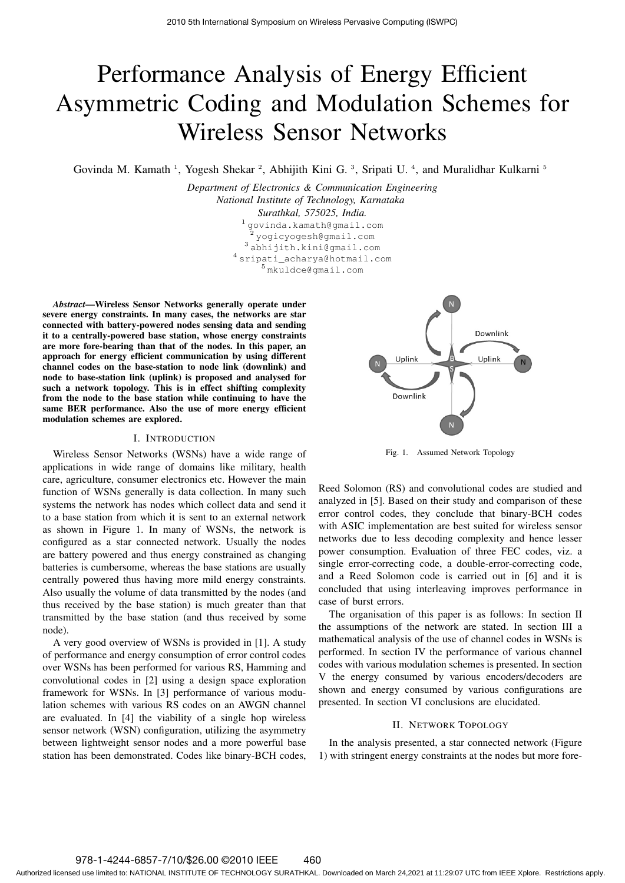# Performance Analysis of Energy Efficient Asymmetric Coding and Modulation Schemes for Wireless Sensor Networks

Govinda M. Kamath<sup>1</sup>, Yogesh Shekar<sup>2</sup>, Abhijith Kini G.<sup>3</sup>, Sripati U.<sup>4</sup>, and Muralidhar Kulkarni<sup>5</sup>

*Department of Electronics & Communication Engineering National Institute of Technology, Karnataka Surathkal, 575025, India.* govinda.kamath@gmail.com yogicyogesh@gmail.com abhijith.kini@gmail.com sripati\_acharya@hotmail.com mkuldce@gmail.com

*Abstract*—Wireless Sensor Networks generally operate under severe energy constraints. In many cases, the networks are star connected with battery-powered nodes sensing data and sending it to a centrally-powered base station, whose energy constraints are more fore-bearing than that of the nodes. In this paper, an approach for energy efficient communication by using different channel codes on the base-station to node link (downlink) and node to base-station link (uplink) is proposed and analysed for such a network topology. This is in effect shifting complexity from the node to the base station while continuing to have the same BER performance. Also the use of more energy efficient modulation schemes are explored.

#### I. INTRODUCTION

Wireless Sensor Networks (WSNs) have a wide range of applications in wide range of domains like military, health care, agriculture, consumer electronics etc. However the main function of WSNs generally is data collection. In many such systems the network has nodes which collect data and send it to a base station from which it is sent to an external network as shown in Figure 1. In many of WSNs, the network is configured as a star connected network. Usually the nodes are battery powered and thus energy constrained as changing batteries is cumbersome, whereas the base stations are usually centrally powered thus having more mild energy constraints. Also usually the volume of data transmitted by the nodes (and thus received by the base station) is much greater than that transmitted by the base station (and thus received by some node).

A very good overview of WSNs is provided in [1]. A study of performance and energy consumption of error control codes over WSNs has been performed for various RS, Hamming and convolutional codes in [2] using a design space exploration framework for WSNs. In [3] performance of various modulation schemes with various RS codes on an AWGN channel are evaluated. In [4] the viability of a single hop wireless sensor network (WSN) configuration, utilizing the asymmetry between lightweight sensor nodes and a more powerful base station has been demonstrated. Codes like binary-BCH codes,



Fig. 1. Assumed Network Topology

Reed Solomon (RS) and convolutional codes are studied and analyzed in [5]. Based on their study and comparison of these error control codes, they conclude that binary-BCH codes with ASIC implementation are best suited for wireless sensor networks due to less decoding complexity and hence lesser power consumption. Evaluation of three FEC codes, viz. a single error-correcting code, a double-error-correcting code, and a Reed Solomon code is carried out in [6] and it is concluded that using interleaving improves performance in case of burst errors.

The organisation of this paper is as follows: In section II the assumptions of the network are stated. In section III a mathematical analysis of the use of channel codes in WSNs is performed. In section IV the performance of various channel codes with various modulation schemes is presented. In section V the energy consumed by various encoders/decoders are shown and energy consumed by various configurations are presented. In section VI conclusions are elucidated.

### II. NETWORK TOPOLOGY

In the analysis presented, a star connected network (Figure 1) with stringent energy constraints at the nodes but more fore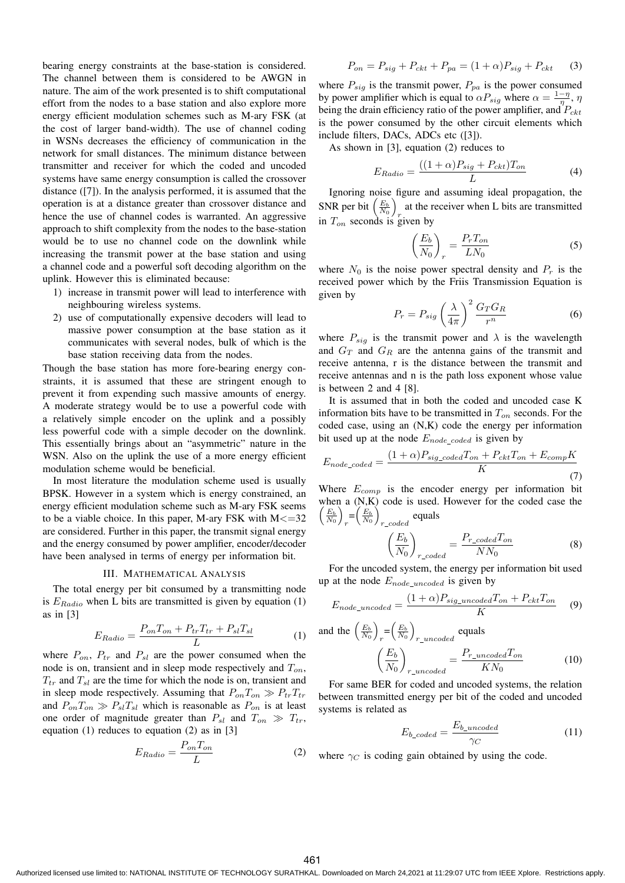bearing energy constraints at the base-station is considered. The channel between them is considered to be AWGN in nature. The aim of the work presented is to shift computational effort from the nodes to a base station and also explore more energy efficient modulation schemes such as M-ary FSK (at the cost of larger band-width). The use of channel coding in WSNs decreases the efficiency of communication in the network for small distances. The minimum distance between transmitter and receiver for which the coded and uncoded systems have same energy consumption is called the crossover distance ([7]). In the analysis performed, it is assumed that the operation is at a distance greater than crossover distance and hence the use of channel codes is warranted. An aggressive approach to shift complexity from the nodes to the base-station would be to use no channel code on the downlink while increasing the transmit power at the base station and using a channel code and a powerful soft decoding algorithm on the uplink. However this is eliminated because:

- 1) increase in transmit power will lead to interference with neighbouring wireless systems.
- 2) use of computationally expensive decoders will lead to massive power consumption at the base station as it communicates with several nodes, bulk of which is the base station receiving data from the nodes.

Though the base station has more fore-bearing energy constraints, it is assumed that these are stringent enough to prevent it from expending such massive amounts of energy. A moderate strategy would be to use a powerful code with a relatively simple encoder on the uplink and a possibly less powerful code with a simple decoder on the downlink. This essentially brings about an "asymmetric" nature in the WSN. Also on the uplink the use of a more energy efficient modulation scheme would be beneficial.

In most literature the modulation scheme used is usually BPSK. However in a system which is energy constrained, an energy efficient modulation scheme such as M-ary FSK seems to be a viable choice. In this paper, M-ary FSK with  $M \leq 32$ are considered. Further in this paper, the transmit signal energy and the energy consumed by power amplifier, encoder/decoder have been analysed in terms of energy per information bit.

## III. MATHEMATICAL ANALYSIS

The total energy per bit consumed by a transmitting node is  $E_{Radio}$  when L bits are transmitted is given by equation (1) as in [3]

$$
E_{Radio} = \frac{P_{on}T_{on} + P_{tr}T_{tr} + P_{sl}T_{sl}}{L}
$$
 (1)

where  $P_{on}$ ,  $P_{tr}$  and  $P_{sl}$  are the power consumed when the node is on, transient and in sleep mode respectively and  $T_{on}$ ,  $T_{tr}$  and  $T_{sl}$  are the time for which the node is on, transient and in sleep mode respectively. Assuming that  $P_{on}T_{on} \gg P_{tr}T_{tr}$ and  $P_{on}T_{on} \gg P_{sl}T_{sl}$  which is reasonable as  $P_{on}$  is at least one order of magnitude greater than  $P_{sl}$  and  $T_{on} \gg T_{tr}$ , equation (1) reduces to equation (2) as in [3]

$$
E_{Radio} = \frac{P_{on} T_{on}}{L} \tag{2}
$$

$$
P_{on} = P_{sig} + P_{ckt} + P_{pa} = (1 + \alpha)P_{sig} + P_{ckt}
$$
 (3)

where  $P_{sig}$  is the transmit power,  $P_{pa}$  is the power consumed by power amplifier which is equal to  $\alpha P_{sig}$  where  $\alpha = \frac{1-\eta}{\eta}$ ,  $\eta$ being the drain efficiency ratio of the power amplifier, and  $P_{ckt}$ is the power consumed by the other circuit elements which include filters, DACs, ADCs etc ([3]).

As shown in [3], equation (2) reduces to

$$
E_{Radio} = \frac{((1+\alpha)P_{sig} + P_{ckt})T_{on}}{L}
$$
 (4)

Ignoring noise figure and assuming ideal propagation, the SNR per bit  $\left(\frac{E_b}{N_0}\right)_r$  at the receiver when L bits are transmitted in  $T_{on}$  seconds is given by

$$
\left(\frac{E_b}{N_0}\right)_r = \frac{P_r T_{on}}{L N_0} \tag{5}
$$

where  $N_0$  is the noise power spectral density and  $P_r$  is the received power which by the Friis Transmission Equation is given by

$$
P_r = P_{sig} \left(\frac{\lambda}{4\pi}\right)^2 \frac{G_T G_R}{r^n} \tag{6}
$$

where  $P_{sig}$  is the transmit power and  $\lambda$  is the wavelength and  $G_T$  and  $G_R$  are the antenna gains of the transmit and receive antenna, r is the distance between the transmit and receive antennas and n is the path loss exponent whose value is between 2 and 4 [8].

It is assumed that in both the coded and uncoded case K information bits have to be transmitted in  $T_{on}$  seconds. For the coded case, using an (N,K) code the energy per information bit used up at the node  $E_{node\_coded}$  is given by

$$
E_{node\_code} = \frac{(1+\alpha)P_{sig\_code}T_{on} + P_{ckt}T_{on} + E_{comp}K}{K}
$$
\n(7)

Where  $E_{comp}$  is the encoder energy per information bit when a (N,K) code is used. However for the coded case the  $\left(\frac{E_b}{N_0}\right)$  $r = \left(\frac{E_b}{N_0}\right)$  $r_{\text{-}coded}$  equals

$$
\left(\frac{E_b}{N_0}\right)_{r\_code} = \frac{P_{r\_code}T_{on}}{NN_0} \tag{8}
$$

For the uncoded system, the energy per information bit used up at the node  $E_{node\_uncoded}$  is given by

$$
E_{node\_uncoded} = \frac{(1+\alpha)P_{sig\_uncoded}T_{on} + P_{ckt}T_{on}}{K}
$$
 (9)

and the  $\left(\frac{E_b}{N_0}\right)$  $r = \left(\frac{E_b}{N_0}\right)$ equals

$$
\left(\frac{E_b}{N_0}\right)_{r\_uncoded} = \frac{P_{r\_uncoded}T_{on}}{KN_0} \tag{10}
$$

For same BER for coded and uncoded systems, the relation between transmitted energy per bit of the coded and uncoded systems is related as

$$
E_{b\_coded} = \frac{E_{b\_uncoded}}{\gamma_C} \tag{11}
$$

where  $\gamma_C$  is coding gain obtained by using the code.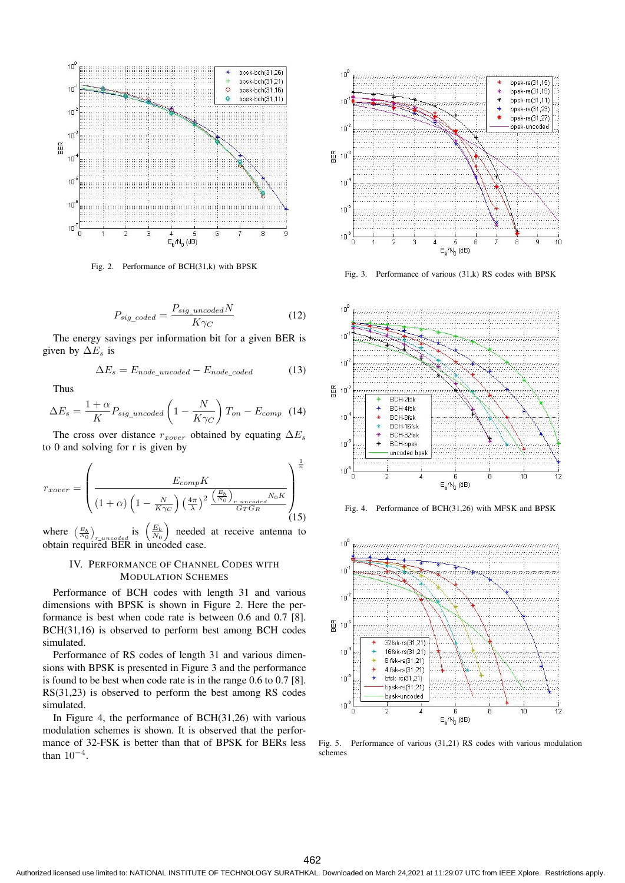

Fig. 2. Performance of BCH(31,k) with BPSK

$$
P_{sig\_coded} = \frac{P_{sig\_uncoded}N}{K\gamma_C} \tag{12}
$$

The energy savings per information bit for a given BER is given by  $\Delta E_s$  is

$$
\Delta E_s = E_{node\_uncoded} - E_{node\_coded} \tag{13}
$$

Thus

$$
\Delta E_s = \frac{1+\alpha}{K} P_{sig\_uncoded} \left( 1 - \frac{N}{K\gamma_C} \right) T_{on} - E_{comp} \quad (14)
$$

The cross over distance  $r_{xover}$  obtained by equating  $\Delta E_s$ to 0 and solving for r is given by

$$
r_{xover} = \left(\frac{E_{comp}K}{\left(1+\alpha\right)\left(1-\frac{N}{K\gamma_C}\right)\left(\frac{4\pi}{\lambda}\right)^2 \frac{\left(\frac{E_b}{N_0}\right)_{r\_uncoded}}{G_T G_R} N_0 K}\right)^{\frac{1}{n}}
$$
(15)

where  $\left(\frac{E_b}{N_0}\right)$  $r_{\text{r}}$  uncoded is  $\left(\frac{E_b}{N_0}\right)$  needed at receive antenna to obtain required BER in uncoded case.

## IV. PERFORMANCE OF CHANNEL CODES WITH MODULATION SCHEMES

Performance of BCH codes with length 31 and various dimensions with BPSK is shown in Figure 2. Here the performance is best when code rate is between 0.6 and 0.7 [8]. BCH(31,16) is observed to perform best among BCH codes simulated.

Performance of RS codes of length 31 and various dimensions with BPSK is presented in Figure 3 and the performance is found to be best when code rate is in the range 0.6 to 0.7 [8]. RS(31,23) is observed to perform the best among RS codes simulated.

In Figure 4, the performance of BCH(31,26) with various modulation schemes is shown. It is observed that the performance of 32-FSK is better than that of BPSK for BERs less than  $10^{-4}$ .



Fig. 3. Performance of various (31,k) RS codes with BPSK



Fig. 4. Performance of BCH(31,26) with MFSK and BPSK



Fig. 5. Performance of various (31,21) RS codes with various modulation schemes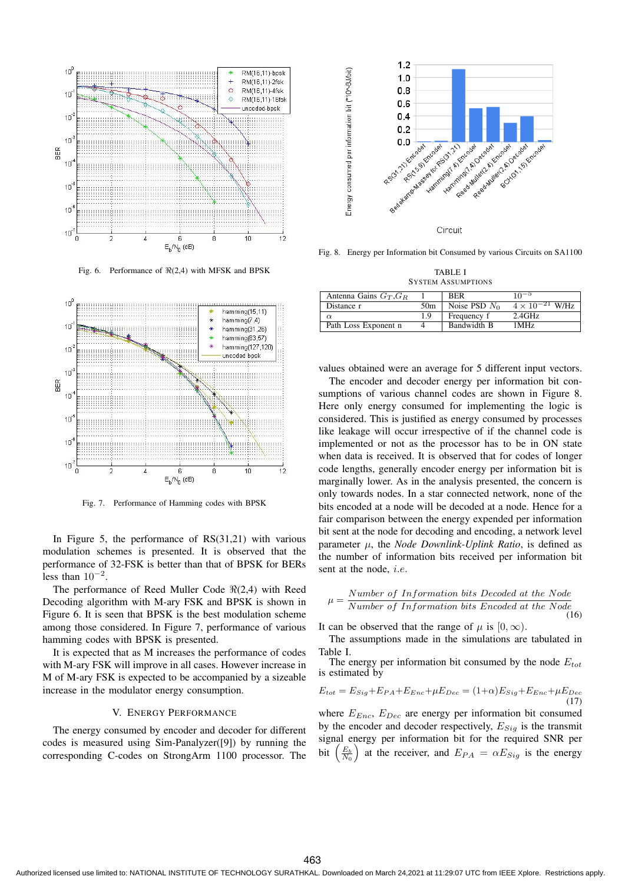

Fig. 6. Performance of  $\Re(2,4)$  with MFSK and BPSK



Fig. 7. Performance of Hamming codes with BPSK

In Figure 5, the performance of  $RS(31,21)$  with various modulation schemes is presented. It is observed that the performance of 32-FSK is better than that of BPSK for BERs less than  $10^{-2}$ .

The performance of Reed Muller Code  $\Re(2,4)$  with Reed Decoding algorithm with M-ary FSK and BPSK is shown in Figure 6. It is seen that BPSK is the best modulation scheme among those considered. In Figure 7, performance of various hamming codes with BPSK is presented.

It is expected that as M increases the performance of codes with M-ary FSK will improve in all cases. However increase in M of M-ary FSK is expected to be accompanied by a sizeable increase in the modulator energy consumption.

## V. ENERGY PERFORMANCE

The energy consumed by encoder and decoder for different codes is measured using Sim-Panalyzer([9]) by running the corresponding C-codes on StrongArm 1100 processor. The



Fig. 8. Energy per Information bit Consumed by various Circuits on SA1100

TABLE I SYSTEM ASSUMPTIONS

| Antenna Gains $G_T$ , $G_R$ |                 | <b>BER</b>      | $10^{-5}$                |
|-----------------------------|-----------------|-----------------|--------------------------|
| Distance r                  | 50 <sub>m</sub> | Noise PSD $N_0$ | $4 \times 10^{-21}$ W/Hz |
|                             | 19              | Frequency f     | 2.4GHz                   |
| Path Loss Exponent n        |                 | Bandwidth B     | 1MHz                     |

values obtained were an average for 5 different input vectors.

The encoder and decoder energy per information bit consumptions of various channel codes are shown in Figure 8. Here only energy consumed for implementing the logic is considered. This is justified as energy consumed by processes like leakage will occur irrespective of if the channel code is implemented or not as the processor has to be in ON state when data is received. It is observed that for codes of longer code lengths, generally encoder energy per information bit is marginally lower. As in the analysis presented, the concern is only towards nodes. In a star connected network, none of the bits encoded at a node will be decoded at a node. Hence for a fair comparison between the energy expended per information bit sent at the node for decoding and encoding, a network level parameter  $\mu$ , the *Node Downlink-Uplink Ratio*, is defined as the number of information bits received per information bit sent at the node, i.e.

$$
\mu = \frac{Number\ of\ Information\ bits\ Decoded\ at\ the\ Node}{Number\ of\ Information\ bits\ Encoded\ at\ the\ Node} (16)
$$

It can be observed that the range of  $\mu$  is  $[0, \infty)$ .

The assumptions made in the simulations are tabulated in Table I.

The energy per information bit consumed by the node  $E_{tot}$ is estimated by

$$
E_{tot} = E_{Sig} + E_{PA} + E_{Enc} + \mu E_{Dec} = (1+\alpha)E_{Sig} + E_{Enc} + \mu E_{Dec}
$$
\n(17)

where  $E_{Enc}$ ,  $E_{Dec}$  are energy per information bit consumed by the encoder and decoder respectively,  $E_{Sig}$  is the transmit signal energy per information bit for the required SNR per bit  $\left(\frac{E_b}{N_0}\right)$  $\setminus$ at the receiver, and  $E_{PA} = \alpha E_{Sig}$  is the energy